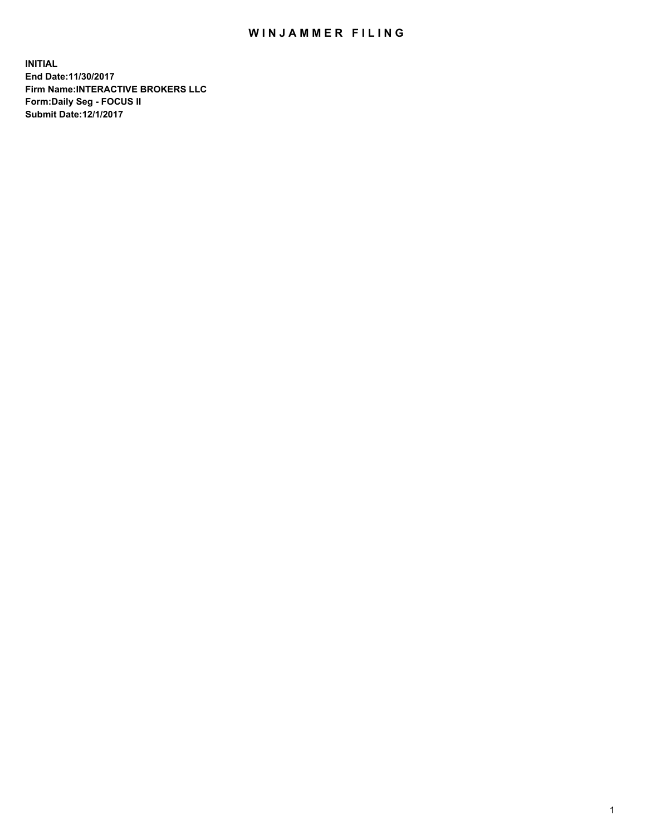## WIN JAMMER FILING

**INITIAL End Date:11/30/2017 Firm Name:INTERACTIVE BROKERS LLC Form:Daily Seg - FOCUS II Submit Date:12/1/2017**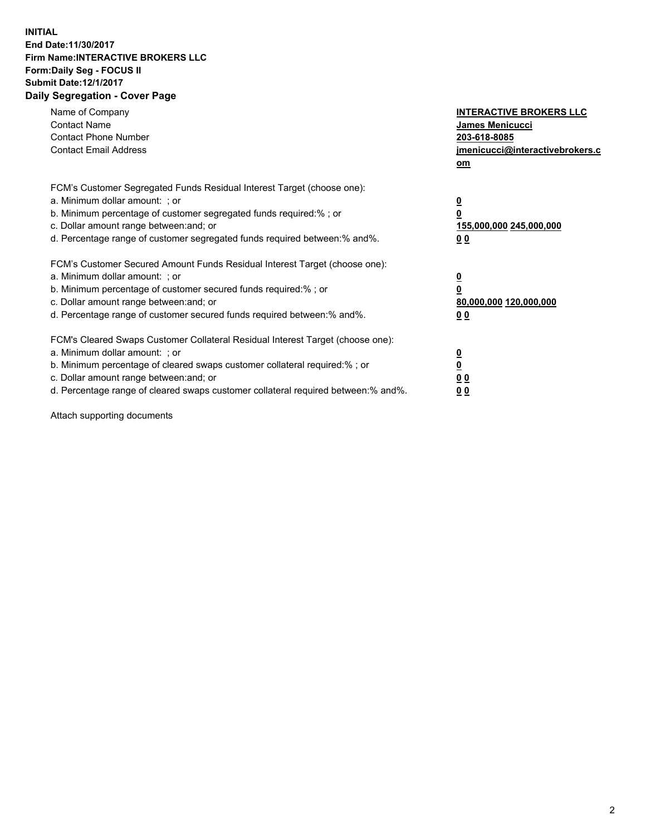## **INITIAL End Date:11/30/2017 Firm Name:INTERACTIVE BROKERS LLC Form:Daily Seg - FOCUS II Submit Date:12/1/2017 Daily Segregation - Cover Page**

| Name of Company<br><b>Contact Name</b><br><b>Contact Phone Number</b><br><b>Contact Email Address</b>                                                                                                                                                                                                                          | <b>INTERACTIVE BROKERS LLC</b><br><b>James Menicucci</b><br>203-618-8085<br>jmenicucci@interactivebrokers.c<br>om |
|--------------------------------------------------------------------------------------------------------------------------------------------------------------------------------------------------------------------------------------------------------------------------------------------------------------------------------|-------------------------------------------------------------------------------------------------------------------|
| FCM's Customer Segregated Funds Residual Interest Target (choose one):<br>a. Minimum dollar amount: ; or<br>b. Minimum percentage of customer segregated funds required:%; or<br>c. Dollar amount range between: and; or<br>d. Percentage range of customer segregated funds required between:% and%.                          | $\overline{\mathbf{0}}$<br>0<br>155,000,000 245,000,000<br>0 <sub>0</sub>                                         |
| FCM's Customer Secured Amount Funds Residual Interest Target (choose one):<br>a. Minimum dollar amount: ; or<br>b. Minimum percentage of customer secured funds required:%; or<br>c. Dollar amount range between: and; or<br>d. Percentage range of customer secured funds required between: % and %.                          | $\overline{\mathbf{0}}$<br>0<br>80,000,000 120,000,000<br>0 <sub>0</sub>                                          |
| FCM's Cleared Swaps Customer Collateral Residual Interest Target (choose one):<br>a. Minimum dollar amount: ; or<br>b. Minimum percentage of cleared swaps customer collateral required:% ; or<br>c. Dollar amount range between: and; or<br>d. Percentage range of cleared swaps customer collateral required between:% and%. | $\overline{\mathbf{0}}$<br>$\overline{\mathbf{0}}$<br>0 <sub>0</sub><br><u>00</u>                                 |

Attach supporting documents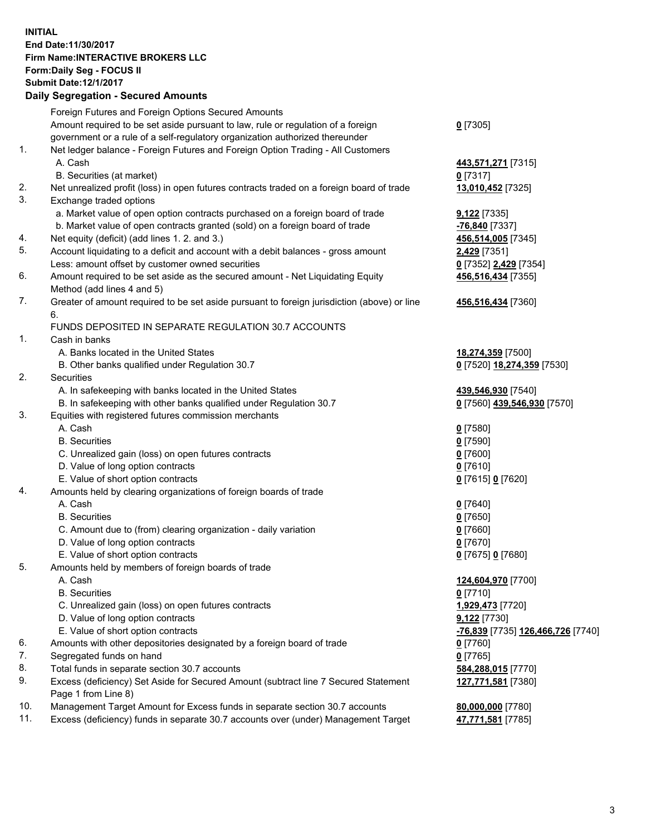## **INITIAL End Date:11/30/2017 Firm Name:INTERACTIVE BROKERS LLC Form:Daily Seg - FOCUS II Submit Date:12/1/2017 Daily Segregation - Secured Amounts**

|     | Daily Jegiegation - Jeculed Aniounts                                                                       |                                                |
|-----|------------------------------------------------------------------------------------------------------------|------------------------------------------------|
|     | Foreign Futures and Foreign Options Secured Amounts                                                        |                                                |
|     | Amount required to be set aside pursuant to law, rule or regulation of a foreign                           | $0$ [7305]                                     |
|     | government or a rule of a self-regulatory organization authorized thereunder                               |                                                |
| 1.  | Net ledger balance - Foreign Futures and Foreign Option Trading - All Customers                            |                                                |
|     | A. Cash                                                                                                    | 443,571,271 [7315]                             |
|     | B. Securities (at market)                                                                                  | $0$ [7317]                                     |
| 2.  | Net unrealized profit (loss) in open futures contracts traded on a foreign board of trade                  | 13,010,452 [7325]                              |
| 3.  | Exchange traded options                                                                                    |                                                |
|     | a. Market value of open option contracts purchased on a foreign board of trade                             | $9,122$ [7335]                                 |
|     | b. Market value of open contracts granted (sold) on a foreign board of trade                               | $-76,840$ [7337]                               |
| 4.  | Net equity (deficit) (add lines 1.2. and 3.)                                                               | 456,514,005 [7345]                             |
| 5.  | Account liquidating to a deficit and account with a debit balances - gross amount                          | 2,429 [7351]                                   |
|     | Less: amount offset by customer owned securities                                                           | 0 [7352] 2,429 [7354]                          |
| 6.  | Amount required to be set aside as the secured amount - Net Liquidating Equity                             | 456,516,434 [7355]                             |
|     | Method (add lines 4 and 5)                                                                                 |                                                |
| 7.  | Greater of amount required to be set aside pursuant to foreign jurisdiction (above) or line                | 456,516,434 [7360]                             |
|     | 6.                                                                                                         |                                                |
|     | FUNDS DEPOSITED IN SEPARATE REGULATION 30.7 ACCOUNTS                                                       |                                                |
| 1.  | Cash in banks                                                                                              |                                                |
|     | A. Banks located in the United States                                                                      | 18,274,359 [7500]                              |
|     | B. Other banks qualified under Regulation 30.7                                                             | 0 [7520] 18,274,359 [7530]                     |
| 2.  | Securities                                                                                                 |                                                |
|     | A. In safekeeping with banks located in the United States                                                  | 439,546,930 [7540]                             |
|     | B. In safekeeping with other banks qualified under Regulation 30.7                                         | 0 [7560] 439,546,930 [7570]                    |
| 3.  | Equities with registered futures commission merchants                                                      |                                                |
|     | A. Cash                                                                                                    | $0$ [7580]                                     |
|     | <b>B.</b> Securities                                                                                       | $0$ [7590]                                     |
|     | C. Unrealized gain (loss) on open futures contracts                                                        | $0$ [7600]                                     |
|     | D. Value of long option contracts                                                                          | $0$ [7610]                                     |
|     | E. Value of short option contracts                                                                         | 0 [7615] 0 [7620]                              |
| 4.  | Amounts held by clearing organizations of foreign boards of trade                                          |                                                |
|     | A. Cash                                                                                                    | $0$ [7640]                                     |
|     | <b>B.</b> Securities                                                                                       | $0$ [7650]                                     |
|     | C. Amount due to (from) clearing organization - daily variation                                            | $0$ [7660]                                     |
|     | D. Value of long option contracts                                                                          | $0$ [7670]                                     |
|     | E. Value of short option contracts                                                                         | 0 [7675] 0 [7680]                              |
| 5.  | Amounts held by members of foreign boards of trade                                                         |                                                |
|     | A. Cash                                                                                                    | 124,604,970 [7700]                             |
|     | <b>B.</b> Securities                                                                                       | $0$ [7710]                                     |
|     | C. Unrealized gain (loss) on open futures contracts                                                        | 1,929,473 [7720]                               |
|     | D. Value of long option contracts                                                                          | 9,122 [7730]                                   |
|     | E. Value of short option contracts                                                                         | <mark>-76,839</mark> [7735] 126,466,726 [7740] |
| 6.  | Amounts with other depositories designated by a foreign board of trade                                     | $0$ [7760]                                     |
| 7.  | Segregated funds on hand                                                                                   | $0$ [7765]                                     |
| 8.  | Total funds in separate section 30.7 accounts                                                              | 584,288,015 [7770]                             |
| 9.  | Excess (deficiency) Set Aside for Secured Amount (subtract line 7 Secured Statement<br>Page 1 from Line 8) | 127,771,581 [7380]                             |
| 10. | Management Target Amount for Excess funds in separate section 30.7 accounts                                | 80,000,000 [7780]                              |
| 11. | Excess (deficiency) funds in separate 30.7 accounts over (under) Management Target                         | 47,771,581 [7785]                              |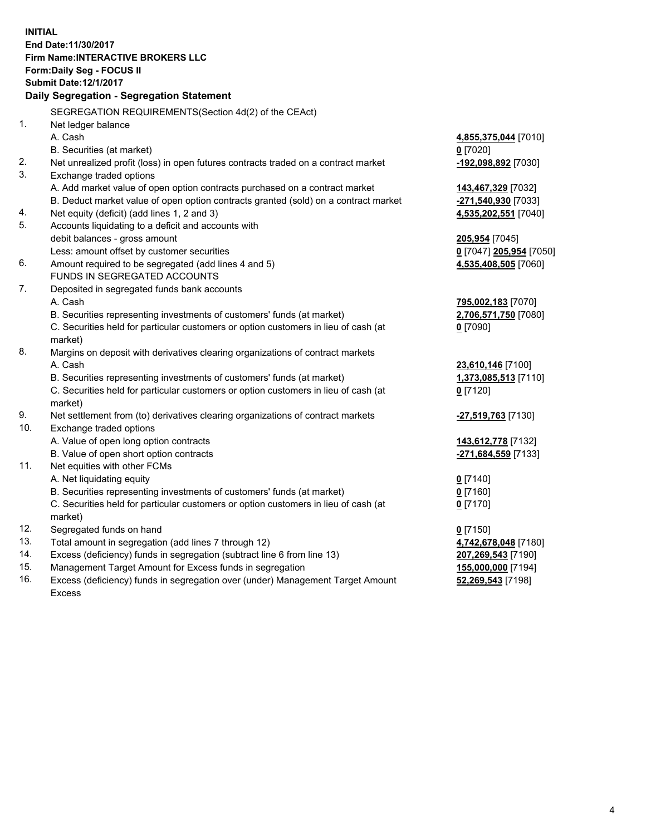**INITIAL End Date:11/30/2017 Firm Name:INTERACTIVE BROKERS LLC Form:Daily Seg - FOCUS II Submit Date:12/1/2017 Daily Segregation - Segregation Statement** SEGREGATION REQUIREMENTS(Section 4d(2) of the CEAct) 1. Net ledger balance A. Cash **4,855,375,044** [7010] B. Securities (at market) **0** [7020] 2. Net unrealized profit (loss) in open futures contracts traded on a contract market **-192,098,892** [7030] 3. Exchange traded options A. Add market value of open option contracts purchased on a contract market **143,467,329** [7032] B. Deduct market value of open option contracts granted (sold) on a contract market **-271,540,930** [7033] 4. Net equity (deficit) (add lines 1, 2 and 3) **4,535,202,551** [7040] 5. Accounts liquidating to a deficit and accounts with debit balances - gross amount **205,954** [7045] Less: amount offset by customer securities **0** [7047] **205,954** [7050] 6. Amount required to be segregated (add lines 4 and 5) **4,535,408,505** [7060] FUNDS IN SEGREGATED ACCOUNTS 7. Deposited in segregated funds bank accounts A. Cash **795,002,183** [7070] B. Securities representing investments of customers' funds (at market) **2,706,571,750** [7080] C. Securities held for particular customers or option customers in lieu of cash (at market) **0** [7090] 8. Margins on deposit with derivatives clearing organizations of contract markets A. Cash **23,610,146** [7100] B. Securities representing investments of customers' funds (at market) **1,373,085,513** [7110] C. Securities held for particular customers or option customers in lieu of cash (at market) **0** [7120] 9. Net settlement from (to) derivatives clearing organizations of contract markets **-27,519,763** [7130] 10. Exchange traded options A. Value of open long option contracts **143,612,778** [7132] B. Value of open short option contracts **-271,684,559** [7133] 11. Net equities with other FCMs A. Net liquidating equity **0** [7140] B. Securities representing investments of customers' funds (at market) **0** [7160] C. Securities held for particular customers or option customers in lieu of cash (at market) **0** [7170] 12. Segregated funds on hand **0** [7150] 13. Total amount in segregation (add lines 7 through 12) **4,742,678,048** [7180] 14. Excess (deficiency) funds in segregation (subtract line 6 from line 13) **207,269,543** [7190] 15. Management Target Amount for Excess funds in segregation **155,000,000** [7194] **52,269,543** [7198]

16. Excess (deficiency) funds in segregation over (under) Management Target Amount Excess

4